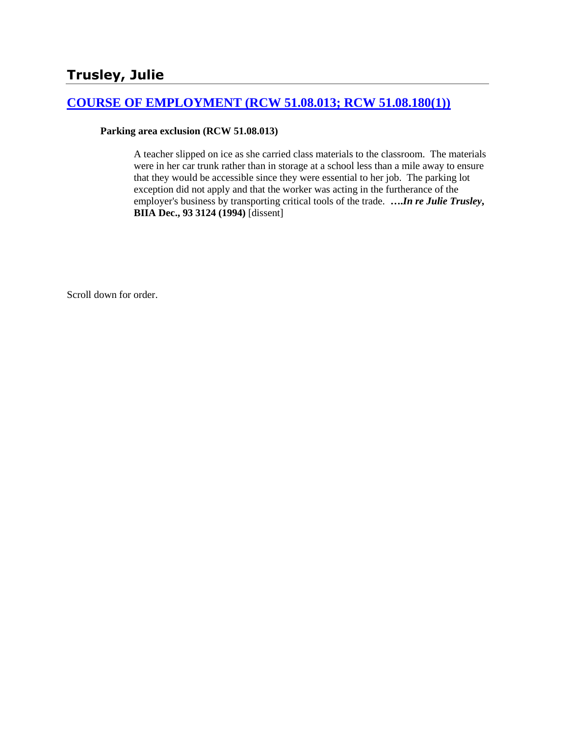### **[COURSE OF EMPLOYMENT \(RCW 51.08.013; RCW 51.08.180\(1\)\)](http://www.biia.wa.gov/SDSubjectIndex.html#COURSE_OF_EMPLOYMENT)**

#### **Parking area exclusion (RCW 51.08.013)**

A teacher slipped on ice as she carried class materials to the classroom. The materials were in her car trunk rather than in storage at a school less than a mile away to ensure that they would be accessible since they were essential to her job. The parking lot exception did not apply and that the worker was acting in the furtherance of the employer's business by transporting critical tools of the trade. **….***In re Julie Trusley***, BIIA Dec., 93 3124 (1994)** [dissent]

Scroll down for order.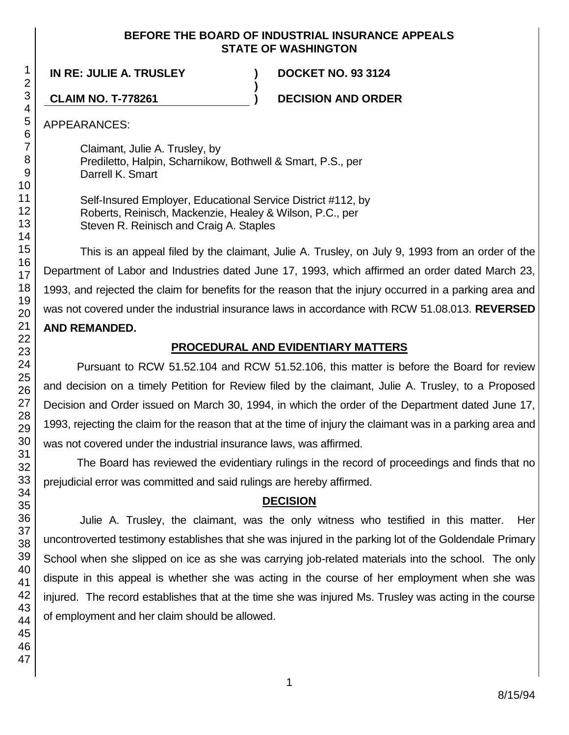#### **BEFORE THE BOARD OF INDUSTRIAL INSURANCE APPEALS STATE OF WASHINGTON**

**)**

**IN RE: JULIE A. TRUSLEY ) DOCKET NO. 93 3124**

**CLAIM NO. T-778261 ) DECISION AND ORDER**

APPEARANCES:

Claimant, Julie A. Trusley, by Prediletto, Halpin, Scharnikow, Bothwell & Smart, P.S., per Darrell K. Smart

Self-Insured Employer, Educational Service District #112, by Roberts, Reinisch, Mackenzie, Healey & Wilson, P.C., per Steven R. Reinisch and Craig A. Staples

This is an appeal filed by the claimant, Julie A. Trusley, on July 9, 1993 from an order of the Department of Labor and Industries dated June 17, 1993, which affirmed an order dated March 23, 1993, and rejected the claim for benefits for the reason that the injury occurred in a parking area and was not covered under the industrial insurance laws in accordance with RCW 51.08.013. **REVERSED AND REMANDED.**

## **PROCEDURAL AND EVIDENTIARY MATTERS**

Pursuant to RCW 51.52.104 and RCW 51.52.106, this matter is before the Board for review and decision on a timely Petition for Review filed by the claimant, Julie A. Trusley, to a Proposed Decision and Order issued on March 30, 1994, in which the order of the Department dated June 17, 1993, rejecting the claim for the reason that at the time of injury the claimant was in a parking area and was not covered under the industrial insurance laws, was affirmed.

The Board has reviewed the evidentiary rulings in the record of proceedings and finds that no prejudicial error was committed and said rulings are hereby affirmed.

# **DECISION**

Julie A. Trusley, the claimant, was the only witness who testified in this matter. Her uncontroverted testimony establishes that she was injured in the parking lot of the Goldendale Primary School when she slipped on ice as she was carrying job-related materials into the school. The only dispute in this appeal is whether she was acting in the course of her employment when she was injured. The record establishes that at the time she was injured Ms. Trusley was acting in the course of employment and her claim should be allowed.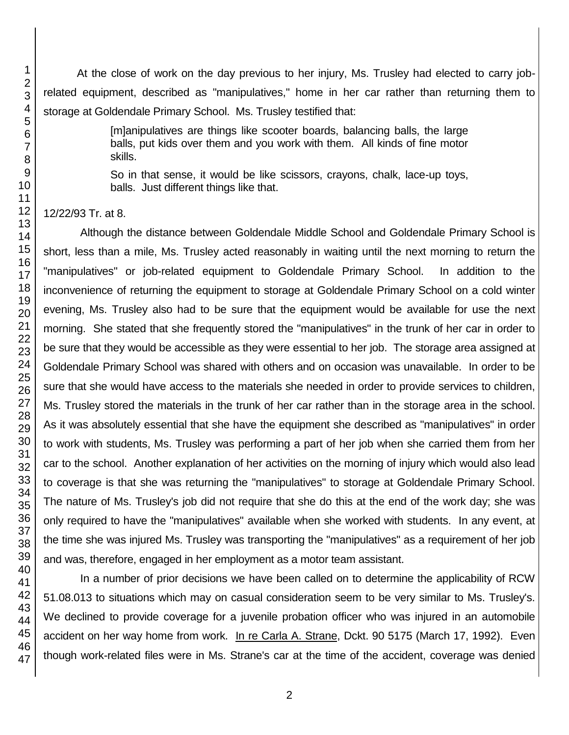At the close of work on the day previous to her injury, Ms. Trusley had elected to carry jobrelated equipment, described as "manipulatives," home in her car rather than returning them to storage at Goldendale Primary School. Ms. Trusley testified that:

> [m]anipulatives are things like scooter boards, balancing balls, the large balls, put kids over them and you work with them. All kinds of fine motor skills.

> So in that sense, it would be like scissors, crayons, chalk, lace-up toys, balls. Just different things like that.

12/22/93 Tr. at 8.

Although the distance between Goldendale Middle School and Goldendale Primary School is short, less than a mile, Ms. Trusley acted reasonably in waiting until the next morning to return the "manipulatives" or job-related equipment to Goldendale Primary School. In addition to the inconvenience of returning the equipment to storage at Goldendale Primary School on a cold winter evening, Ms. Trusley also had to be sure that the equipment would be available for use the next morning. She stated that she frequently stored the "manipulatives" in the trunk of her car in order to be sure that they would be accessible as they were essential to her job. The storage area assigned at Goldendale Primary School was shared with others and on occasion was unavailable. In order to be sure that she would have access to the materials she needed in order to provide services to children, Ms. Trusley stored the materials in the trunk of her car rather than in the storage area in the school. As it was absolutely essential that she have the equipment she described as "manipulatives" in order to work with students, Ms. Trusley was performing a part of her job when she carried them from her car to the school. Another explanation of her activities on the morning of injury which would also lead to coverage is that she was returning the "manipulatives" to storage at Goldendale Primary School. The nature of Ms. Trusley's job did not require that she do this at the end of the work day; she was only required to have the "manipulatives" available when she worked with students. In any event, at the time she was injured Ms. Trusley was transporting the "manipulatives" as a requirement of her job and was, therefore, engaged in her employment as a motor team assistant.

In a number of prior decisions we have been called on to determine the applicability of RCW 51.08.013 to situations which may on casual consideration seem to be very similar to Ms. Trusley's. We declined to provide coverage for a juvenile probation officer who was injured in an automobile accident on her way home from work. In re Carla A. Strane, Dckt. 90 5175 (March 17, 1992). Even though work-related files were in Ms. Strane's car at the time of the accident, coverage was denied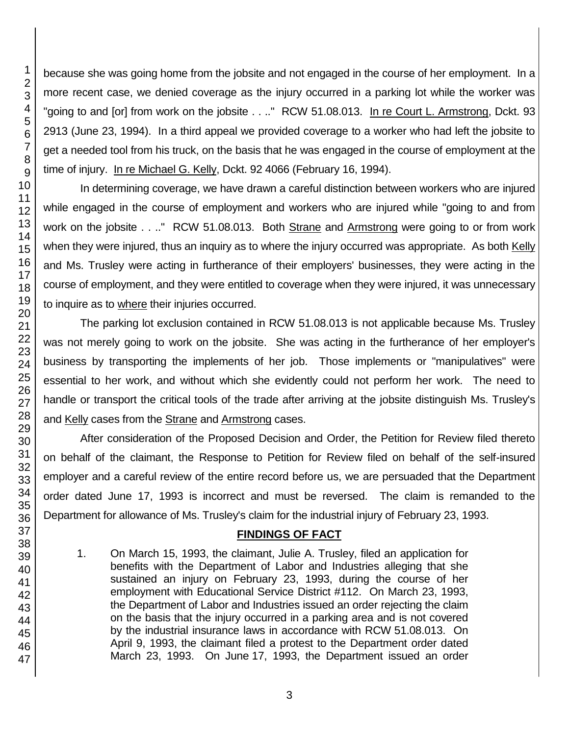because she was going home from the jobsite and not engaged in the course of her employment. In a more recent case, we denied coverage as the injury occurred in a parking lot while the worker was "going to and [or] from work on the jobsite . . .." RCW 51.08.013. In re Court L. Armstrong, Dckt. 93 2913 (June 23, 1994). In a third appeal we provided coverage to a worker who had left the jobsite to get a needed tool from his truck, on the basis that he was engaged in the course of employment at the time of injury. In re Michael G. Kelly, Dckt. 92 4066 (February 16, 1994).

In determining coverage, we have drawn a careful distinction between workers who are injured while engaged in the course of employment and workers who are injured while "going to and from work on the jobsite . . .." RCW 51.08.013. Both Strane and Armstrong were going to or from work when they were injured, thus an inquiry as to where the injury occurred was appropriate. As both Kelly and Ms. Trusley were acting in furtherance of their employers' businesses, they were acting in the course of employment, and they were entitled to coverage when they were injured, it was unnecessary to inquire as to where their injuries occurred.

The parking lot exclusion contained in RCW 51.08.013 is not applicable because Ms. Trusley was not merely going to work on the jobsite. She was acting in the furtherance of her employer's business by transporting the implements of her job. Those implements or "manipulatives" were essential to her work, and without which she evidently could not perform her work. The need to handle or transport the critical tools of the trade after arriving at the jobsite distinguish Ms. Trusley's and Kelly cases from the Strane and Armstrong cases.

After consideration of the Proposed Decision and Order, the Petition for Review filed thereto on behalf of the claimant, the Response to Petition for Review filed on behalf of the self-insured employer and a careful review of the entire record before us, we are persuaded that the Department order dated June 17, 1993 is incorrect and must be reversed. The claim is remanded to the Department for allowance of Ms. Trusley's claim for the industrial injury of February 23, 1993.

#### **FINDINGS OF FACT**

1. On March 15, 1993, the claimant, Julie A. Trusley, filed an application for benefits with the Department of Labor and Industries alleging that she sustained an injury on February 23, 1993, during the course of her employment with Educational Service District #112. On March 23, 1993, the Department of Labor and Industries issued an order rejecting the claim on the basis that the injury occurred in a parking area and is not covered by the industrial insurance laws in accordance with RCW 51.08.013. On April 9, 1993, the claimant filed a protest to the Department order dated March 23, 1993. On June 17, 1993, the Department issued an order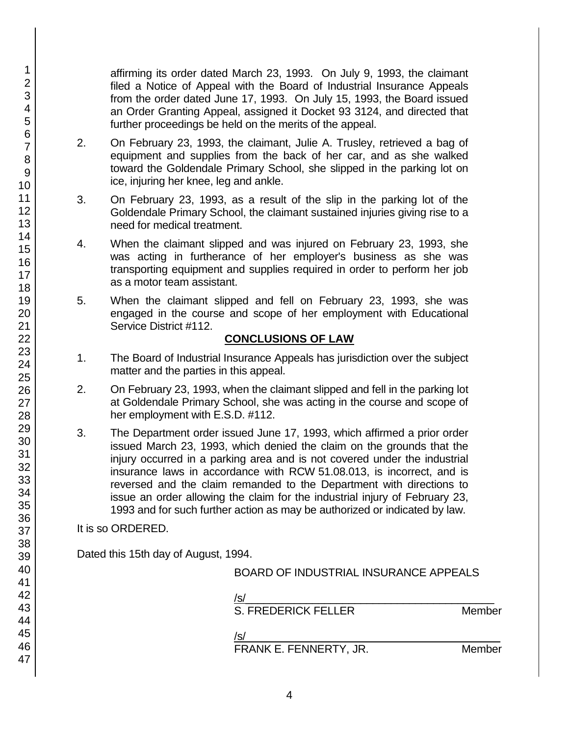affirming its order dated March 23, 1993. On July 9, 1993, the claimant filed a Notice of Appeal with the Board of Industrial Insurance Appeals from the order dated June 17, 1993. On July 15, 1993, the Board issued an Order Granting Appeal, assigned it Docket 93 3124, and directed that further proceedings be held on the merits of the appeal.

- 2. On February 23, 1993, the claimant, Julie A. Trusley, retrieved a bag of equipment and supplies from the back of her car, and as she walked toward the Goldendale Primary School, she slipped in the parking lot on ice, injuring her knee, leg and ankle.
- 3. On February 23, 1993, as a result of the slip in the parking lot of the Goldendale Primary School, the claimant sustained injuries giving rise to a need for medical treatment.
- 4. When the claimant slipped and was injured on February 23, 1993, she was acting in furtherance of her employer's business as she was transporting equipment and supplies required in order to perform her job as a motor team assistant.
- 5. When the claimant slipped and fell on February 23, 1993, she was engaged in the course and scope of her employment with Educational Service District #112.

#### **CONCLUSIONS OF LAW**

- 1. The Board of Industrial Insurance Appeals has jurisdiction over the subject matter and the parties in this appeal.
- 2. On February 23, 1993, when the claimant slipped and fell in the parking lot at Goldendale Primary School, she was acting in the course and scope of her employment with E.S.D. #112.
- 3. The Department order issued June 17, 1993, which affirmed a prior order issued March 23, 1993, which denied the claim on the grounds that the injury occurred in a parking area and is not covered under the industrial insurance laws in accordance with RCW 51.08.013, is incorrect, and is reversed and the claim remanded to the Department with directions to issue an order allowing the claim for the industrial injury of February 23, 1993 and for such further action as may be authorized or indicated by law.

It is so ORDERED.

Dated this 15th day of August, 1994.

/s/ $\,$ 

S. FREDERICK FELLER Member

 $/$ s/ $\sim$ FRANK E. FENNERTY, JR. Member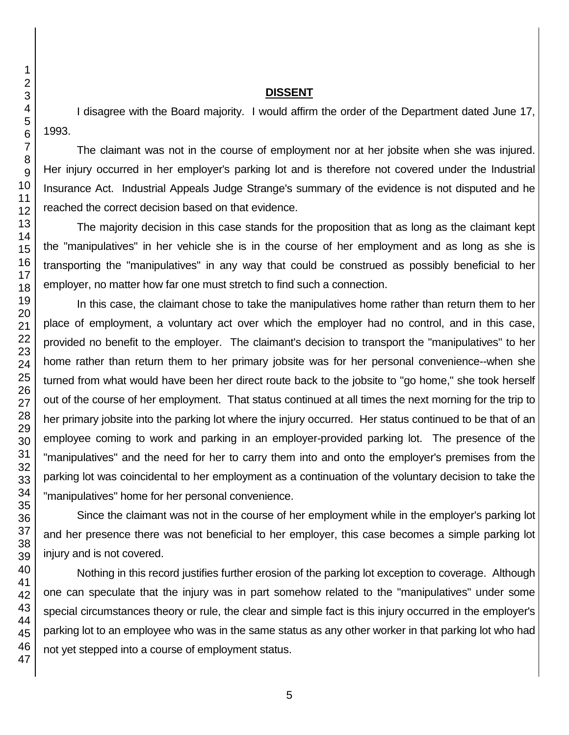#### **DISSENT**

I disagree with the Board majority. I would affirm the order of the Department dated June 17, 1993.

The claimant was not in the course of employment nor at her jobsite when she was injured. Her injury occurred in her employer's parking lot and is therefore not covered under the Industrial Insurance Act. Industrial Appeals Judge Strange's summary of the evidence is not disputed and he reached the correct decision based on that evidence.

The majority decision in this case stands for the proposition that as long as the claimant kept the "manipulatives" in her vehicle she is in the course of her employment and as long as she is transporting the "manipulatives" in any way that could be construed as possibly beneficial to her employer, no matter how far one must stretch to find such a connection.

In this case, the claimant chose to take the manipulatives home rather than return them to her place of employment, a voluntary act over which the employer had no control, and in this case, provided no benefit to the employer. The claimant's decision to transport the "manipulatives" to her home rather than return them to her primary jobsite was for her personal convenience--when she turned from what would have been her direct route back to the jobsite to "go home," she took herself out of the course of her employment. That status continued at all times the next morning for the trip to her primary jobsite into the parking lot where the injury occurred. Her status continued to be that of an employee coming to work and parking in an employer-provided parking lot. The presence of the "manipulatives" and the need for her to carry them into and onto the employer's premises from the parking lot was coincidental to her employment as a continuation of the voluntary decision to take the "manipulatives" home for her personal convenience.

Since the claimant was not in the course of her employment while in the employer's parking lot and her presence there was not beneficial to her employer, this case becomes a simple parking lot injury and is not covered.

Nothing in this record justifies further erosion of the parking lot exception to coverage. Although one can speculate that the injury was in part somehow related to the "manipulatives" under some special circumstances theory or rule, the clear and simple fact is this injury occurred in the employer's parking lot to an employee who was in the same status as any other worker in that parking lot who had not yet stepped into a course of employment status.